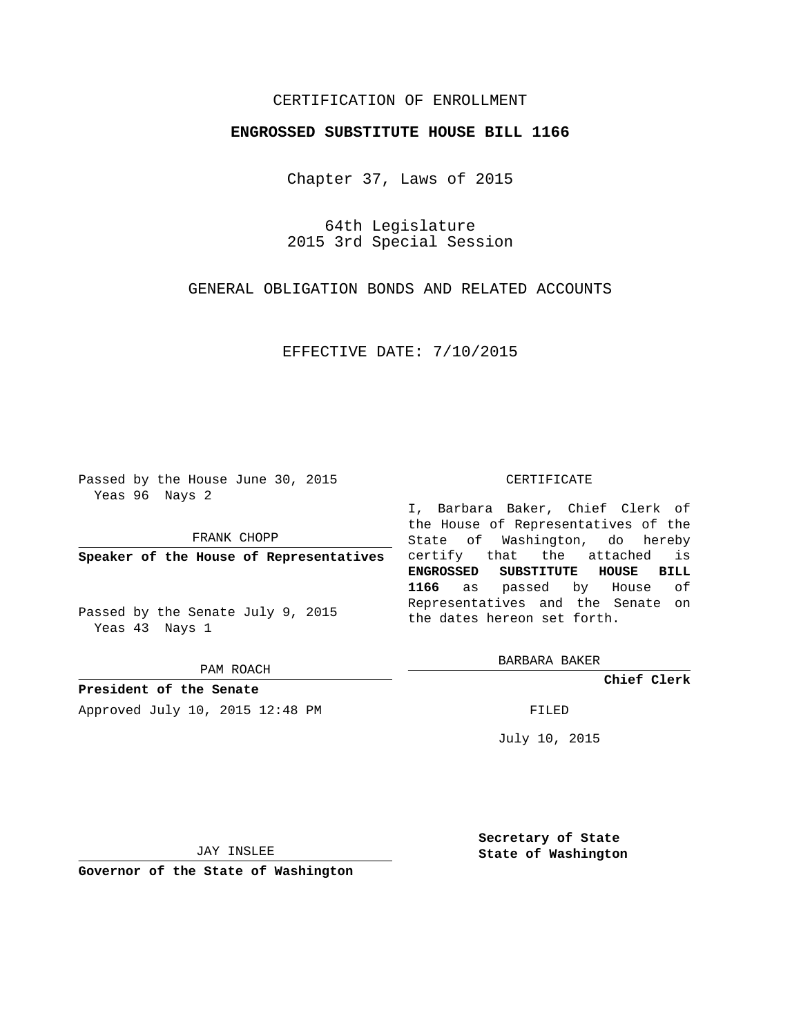## CERTIFICATION OF ENROLLMENT

## **ENGROSSED SUBSTITUTE HOUSE BILL 1166**

Chapter 37, Laws of 2015

64th Legislature 2015 3rd Special Session

GENERAL OBLIGATION BONDS AND RELATED ACCOUNTS

EFFECTIVE DATE: 7/10/2015

Passed by the House June 30, 2015 Yeas 96 Nays 2

FRANK CHOPP

**Speaker of the House of Representatives**

Passed by the Senate July 9, 2015 Yeas 43 Nays 1

PAM ROACH

**President of the Senate** Approved July 10, 2015 12:48 PM FILED

## CERTIFICATE

I, Barbara Baker, Chief Clerk of the House of Representatives of the State of Washington, do hereby certify that the attached is **ENGROSSED SUBSTITUTE HOUSE BILL 1166** as passed by House of Representatives and the Senate on the dates hereon set forth.

BARBARA BAKER

**Chief Clerk**

July 10, 2015

JAY INSLEE

**Governor of the State of Washington**

**Secretary of State State of Washington**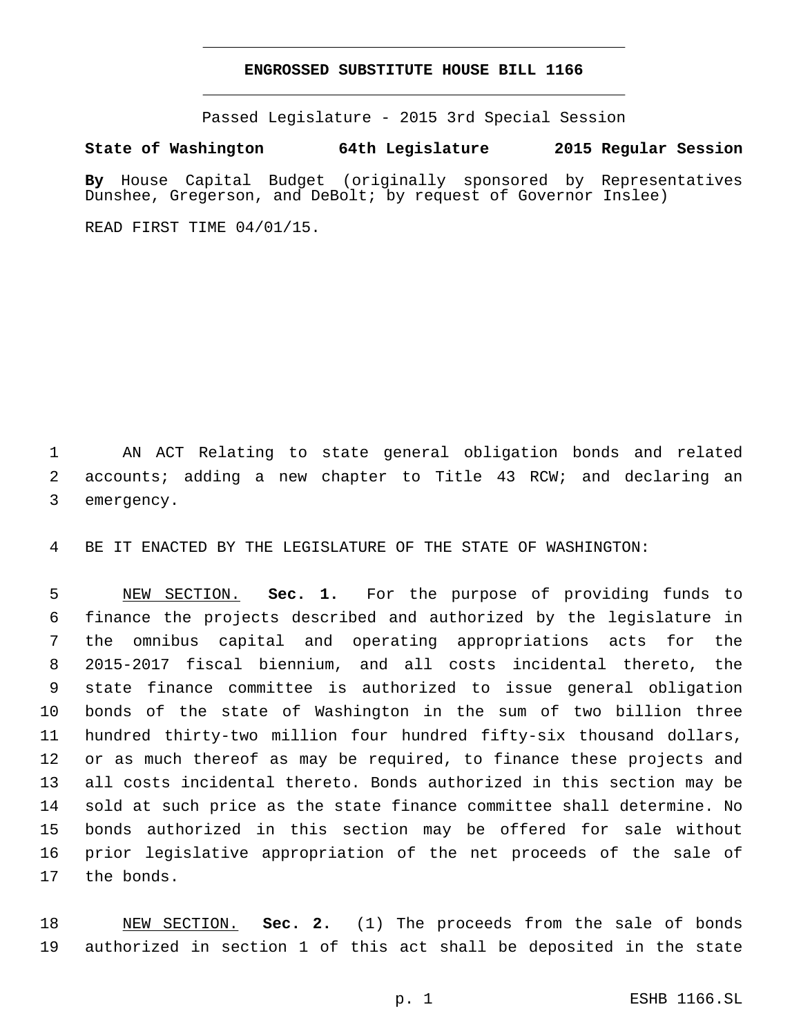## **ENGROSSED SUBSTITUTE HOUSE BILL 1166**

Passed Legislature - 2015 3rd Special Session

**State of Washington 64th Legislature 2015 Regular Session**

**By** House Capital Budget (originally sponsored by Representatives Dunshee, Gregerson, and DeBolt; by request of Governor Inslee)

READ FIRST TIME 04/01/15.

 AN ACT Relating to state general obligation bonds and related accounts; adding a new chapter to Title 43 RCW; and declaring an 3 emergency.

BE IT ENACTED BY THE LEGISLATURE OF THE STATE OF WASHINGTON:

 NEW SECTION. **Sec. 1.** For the purpose of providing funds to finance the projects described and authorized by the legislature in the omnibus capital and operating appropriations acts for the 2015-2017 fiscal biennium, and all costs incidental thereto, the state finance committee is authorized to issue general obligation bonds of the state of Washington in the sum of two billion three hundred thirty-two million four hundred fifty-six thousand dollars, or as much thereof as may be required, to finance these projects and all costs incidental thereto. Bonds authorized in this section may be sold at such price as the state finance committee shall determine. No bonds authorized in this section may be offered for sale without prior legislative appropriation of the net proceeds of the sale of the bonds.

 NEW SECTION. **Sec. 2.** (1) The proceeds from the sale of bonds authorized in section 1 of this act shall be deposited in the state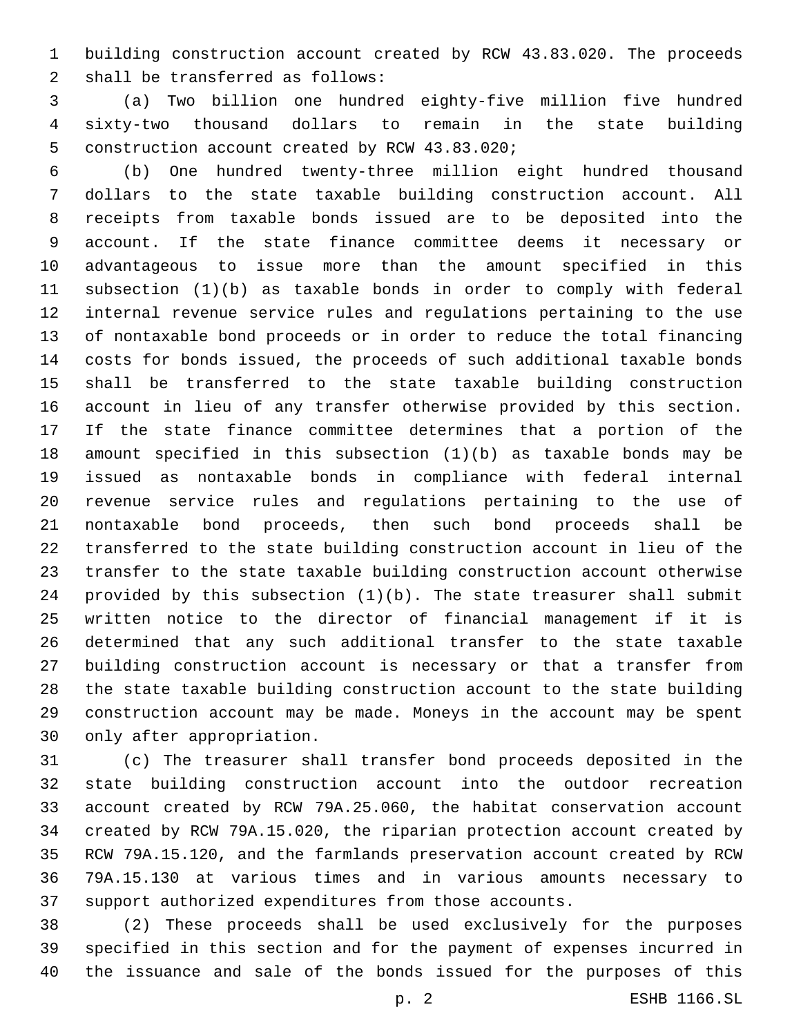building construction account created by RCW 43.83.020. The proceeds 2 shall be transferred as follows:

 (a) Two billion one hundred eighty-five million five hundred sixty-two thousand dollars to remain in the state building 5 construction account created by RCW 43.83.020;

 (b) One hundred twenty-three million eight hundred thousand dollars to the state taxable building construction account. All receipts from taxable bonds issued are to be deposited into the account. If the state finance committee deems it necessary or advantageous to issue more than the amount specified in this subsection (1)(b) as taxable bonds in order to comply with federal internal revenue service rules and regulations pertaining to the use of nontaxable bond proceeds or in order to reduce the total financing costs for bonds issued, the proceeds of such additional taxable bonds shall be transferred to the state taxable building construction account in lieu of any transfer otherwise provided by this section. If the state finance committee determines that a portion of the amount specified in this subsection (1)(b) as taxable bonds may be issued as nontaxable bonds in compliance with federal internal revenue service rules and regulations pertaining to the use of nontaxable bond proceeds, then such bond proceeds shall be transferred to the state building construction account in lieu of the transfer to the state taxable building construction account otherwise provided by this subsection (1)(b). The state treasurer shall submit written notice to the director of financial management if it is determined that any such additional transfer to the state taxable building construction account is necessary or that a transfer from the state taxable building construction account to the state building construction account may be made. Moneys in the account may be spent 30 only after appropriation.

 (c) The treasurer shall transfer bond proceeds deposited in the state building construction account into the outdoor recreation account created by RCW 79A.25.060, the habitat conservation account created by RCW 79A.15.020, the riparian protection account created by RCW 79A.15.120, and the farmlands preservation account created by RCW 79A.15.130 at various times and in various amounts necessary to support authorized expenditures from those accounts.

 (2) These proceeds shall be used exclusively for the purposes specified in this section and for the payment of expenses incurred in the issuance and sale of the bonds issued for the purposes of this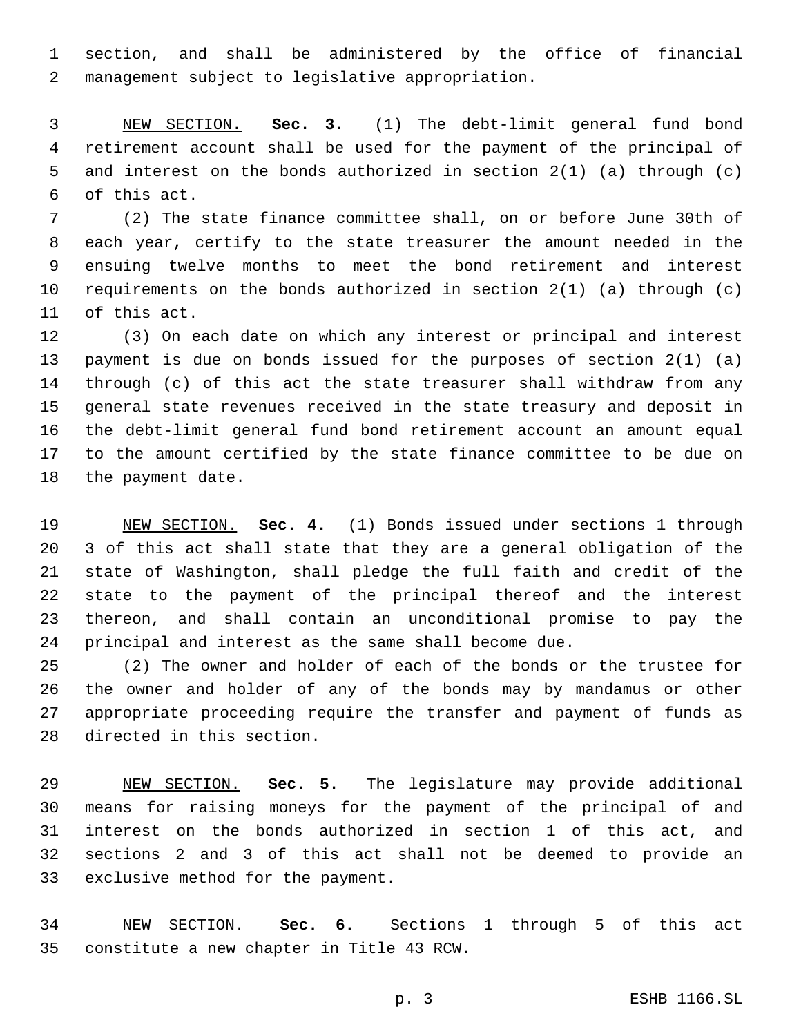section, and shall be administered by the office of financial management subject to legislative appropriation.2

 NEW SECTION. **Sec. 3.** (1) The debt-limit general fund bond retirement account shall be used for the payment of the principal of and interest on the bonds authorized in section 2(1) (a) through (c) of this act.

 (2) The state finance committee shall, on or before June 30th of each year, certify to the state treasurer the amount needed in the ensuing twelve months to meet the bond retirement and interest requirements on the bonds authorized in section 2(1) (a) through (c) 11 of this act.

 (3) On each date on which any interest or principal and interest payment is due on bonds issued for the purposes of section 2(1) (a) through (c) of this act the state treasurer shall withdraw from any general state revenues received in the state treasury and deposit in the debt-limit general fund bond retirement account an amount equal to the amount certified by the state finance committee to be due on 18 the payment date.

 NEW SECTION. **Sec. 4.** (1) Bonds issued under sections 1 through 3 of this act shall state that they are a general obligation of the state of Washington, shall pledge the full faith and credit of the state to the payment of the principal thereof and the interest thereon, and shall contain an unconditional promise to pay the principal and interest as the same shall become due.

 (2) The owner and holder of each of the bonds or the trustee for the owner and holder of any of the bonds may by mandamus or other appropriate proceeding require the transfer and payment of funds as 28 directed in this section.

 NEW SECTION. **Sec. 5.** The legislature may provide additional means for raising moneys for the payment of the principal of and interest on the bonds authorized in section 1 of this act, and sections 2 and 3 of this act shall not be deemed to provide an exclusive method for the payment.

 NEW SECTION. **Sec. 6.** Sections 1 through 5 of this act constitute a new chapter in Title 43 RCW.

p. 3 ESHB 1166.SL